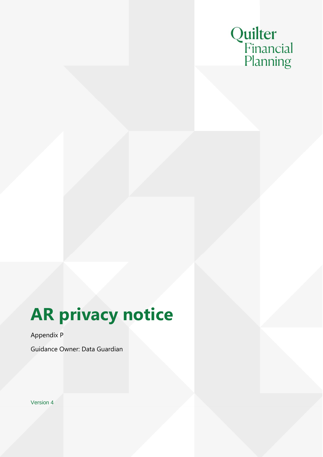

# **AR privacy notice**

Appendix P

Guidance Owner: Data Guardian

Version 4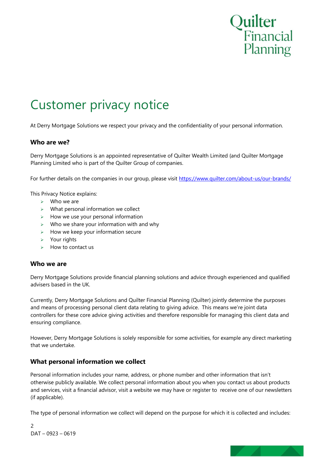

# Customer privacy notice

At Derry Mortgage Solutions we respect your privacy and the confidentiality of your personal information.

#### **Who are we?**

Derry Mortgage Solutions is an appointed representative of Quilter Wealth Limited {and Quilter Mortgage Planning Limited who is part of the Quilter Group of companies.

For further details on the companies in our group, please visit https://www.quilter.com/about-us/our-brands/

This Privacy Notice explains:

- $\triangleright$  Who we are
- $\triangleright$  What personal information we collect
- $\triangleright$  How we use your personal information
- $\triangleright$  Who we share your information with and why
- ➢ How we keep your information secure
- ➢ Your rights
- $\triangleright$  How to contact us

#### **Who we are**

Derry Mortgage Solutions provide financial planning solutions and advice through experienced and qualified advisers based in the UK.

Currently, Derry Mortgage Solutions and Quilter Financial Planning (Quilter) jointly determine the purposes and means of processing personal client data relating to giving advice. This means we're joint data controllers for these core advice giving activities and therefore responsible for managing this client data and ensuring compliance.

However, Derry Mortgage Solutions is solely responsible for some activities, for example any direct marketing that we undertake.

#### **What personal information we collect**

Personal information includes your name, address, or phone number and other information that isn't otherwise publicly available. We collect personal information about you when you contact us about products and services, visit a financial advisor, visit a website we may have or register to receive one of our newsletters (if applicable).

The type of personal information we collect will depend on the purpose for which it is collected and includes:

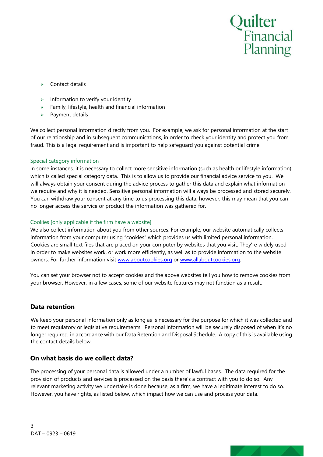

- ➢ Contact details
- $\triangleright$  Information to verify your identity
- $\triangleright$  Family, lifestyle, health and financial information
- ➢ Payment details

We collect personal information directly from you. For example, we ask for personal information at the start of our relationship and in subsequent communications, in order to check your identity and protect you from fraud. This is a legal requirement and is important to help safeguard you against potential crime.

#### Special category information

In some instances, it is necessary to collect more sensitive information (such as health or lifestyle information) which is called special category data. This is to allow us to provide our financial advice service to you. We will always obtain your consent during the advice process to gather this data and explain what information we require and why it is needed. Sensitive personal information will always be processed and stored securely. You can withdraw your consent at any time to us processing this data, however, this may mean that you can no longer access the service or product the information was gathered for.

#### Cookies [only applicable if the firm have a website]

We also collect information about you from other sources. For example, our website automatically collects information from your computer using "cookies" which provides us with limited personal information. Cookies are small text files that are placed on your computer by websites that you visit. They're widely used in order to make websites work, or work more efficiently, as well as to provide information to the website owners. For further information visit www.aboutcookies.org or www.allaboutcookies.org.

You can set your browser not to accept cookies and the above websites tell you how to remove cookies from your browser. However, in a few cases, some of our website features may not function as a result.

#### **Data retention**

We keep your personal information only as long as is necessary for the purpose for which it was collected and to meet regulatory or legislative requirements. Personal information will be securely disposed of when it's no longer required, in accordance with our Data Retention and Disposal Schedule. A copy of this is available using the contact details below.

#### **On what basis do we collect data?**

The processing of your personal data is allowed under a number of lawful bases. The data required for the provision of products and services is processed on the basis there's a contract with you to do so. Any relevant marketing activity we undertake is done because, as a firm, we have a legitimate interest to do so. However, you have rights, as listed below, which impact how we can use and process your data.

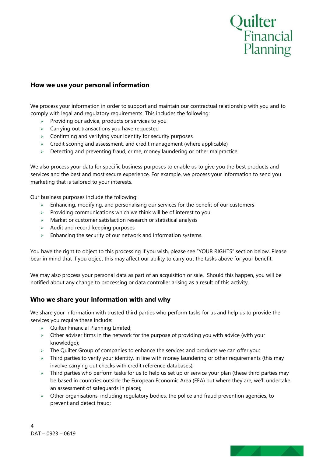

#### **How we use your personal information**

We process your information in order to support and maintain our contractual relationship with you and to comply with legal and regulatory requirements. This includes the following:

- $\triangleright$  Providing our advice, products or services to you
- $\triangleright$  Carrying out transactions you have requested
- $\geq$  Confirming and verifying your identity for security purposes
- $\triangleright$  Credit scoring and assessment, and credit management (where applicable)
- $\geq$  Detecting and preventing fraud, crime, money laundering or other malpractice.

We also process your data for specific business purposes to enable us to give you the best products and services and the best and most secure experience. For example, we process your information to send you marketing that is tailored to your interests.

Our business purposes include the following:

- $\geq$  Enhancing, modifying, and personalising our services for the benefit of our customers
- $\triangleright$  Providing communications which we think will be of interest to you
- ➢ Market or customer satisfaction research or statistical analysis
- $\geq$  Audit and record keeping purposes
- $\triangleright$  Enhancing the security of our network and information systems.

You have the right to object to this processing if you wish, please see "YOUR RIGHTS" section below. Please bear in mind that if you object this may affect our ability to carry out the tasks above for your benefit.

We may also process your personal data as part of an acquisition or sale. Should this happen, you will be notified about any change to processing or data controller arising as a result of this activity.

#### **Who we share your information with and why**

We share your information with trusted third parties who perform tasks for us and help us to provide the services you require these include:

- ➢ Quilter Financial Planning Limited;
- ➢ Other adviser firms in the network for the purpose of providing you with advice (with your knowledge);
- $\triangleright$  The Quilter Group of companies to enhance the services and products we can offer you;
- $\triangleright$  Third parties to verify your identity, in line with money laundering or other requirements (this may involve carrying out checks with credit reference databases);
- $\triangleright$  Third parties who perform tasks for us to help us set up or service your plan (these third parties may be based in countries outside the European Economic Area (EEA) but where they are, we'll undertake an assessment of safeguards in place);
- $\triangleright$  Other organisations, including regulatory bodies, the police and fraud prevention agencies, to prevent and detect fraud;

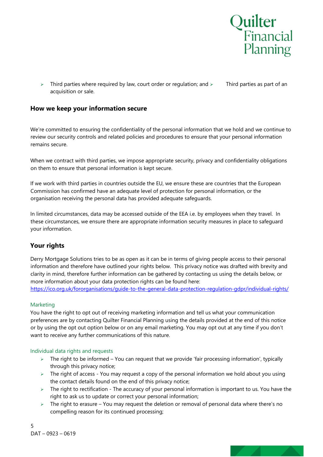

 $>$  Third parties where required by law, court order or requlation; and  $>$  Third parties as part of an acquisition or sale.

#### **How we keep your information secure**

We're committed to ensuring the confidentiality of the personal information that we hold and we continue to review our security controls and related policies and procedures to ensure that your personal information remains secure.

When we contract with third parties, we impose appropriate security, privacy and confidentiality obligations on them to ensure that personal information is kept secure.

If we work with third parties in countries outside the EU, we ensure these are countries that the European Commission has confirmed have an adequate level of protection for personal information, or the organisation receiving the personal data has provided adequate safeguards.

In limited circumstances, data may be accessed outside of the EEA i.e. by employees when they travel. In these circumstances, we ensure there are appropriate information security measures in place to safeguard your information.

#### **Your rights**

Derry Mortgage Solutions tries to be as open as it can be in terms of giving people access to their personal information and therefore have outlined your rights below. This privacy notice was drafted with brevity and clarity in mind, therefore further information can be gathered by contacting us using the details below, or more information about your data protection rights can be found here:

https://ico.org.uk/fororganisations/guide-to-the-general-data-protection-regulation-gdpr/individual-rights/

#### Marketing

You have the right to opt out of receiving marketing information and tell us what your communication preferences are by contacting Quilter Financial Planning using the details provided at the end of this notice or by using the opt out option below or on any email marketing. You may opt out at any time if you don't want to receive any further communications of this nature.

#### Individual data rights and requests

- ➢ The right to be informed You can request that we provide 'fair processing information', typically through this privacy notice;
- ➢ The right of access You may request a copy of the personal information we hold about you using the contact details found on the end of this privacy notice;
- ➢ The right to rectification The accuracy of your personal information is important to us. You have the right to ask us to update or correct your personal information;
- $\triangleright$  The right to erasure You may request the deletion or removal of personal data where there's no compelling reason for its continued processing;

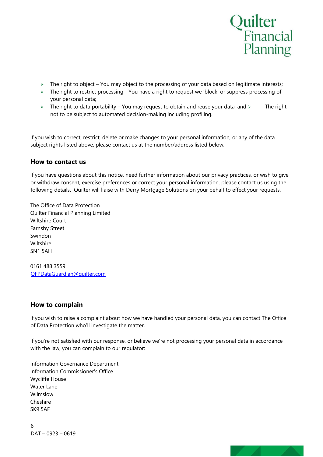

- $\triangleright$  The right to object You may object to the processing of your data based on legitimate interests;
- ➢ The right to restrict processing You have a right to request we 'block' or suppress processing of your personal data;
- $\triangleright$  The right to data portability You may request to obtain and reuse your data; and  $\triangleright$  The right not to be subject to automated decision-making including profiling.

If you wish to correct, restrict, delete or make changes to your personal information, or any of the data subject rights listed above, please contact us at the number/address listed below.

#### **How to contact us**

If you have questions about this notice, need further information about our privacy practices, or wish to give or withdraw consent, exercise preferences or correct your personal information, please contact us using the following details. Quilter will liaise with Derry Mortgage Solutions on your behalf to effect your requests.

The Office of Data Protection Quilter Financial Planning Limited Wiltshire Court Farnsby Street Swindon Wiltshire SN1 5AH

0161 488 3559 QFPDataGuardian@quilter.com

#### **How to complain**

If you wish to raise a complaint about how we have handled your personal data, you can contact The Office of Data Protection who'll investigate the matter.

If you're not satisfied with our response, or believe we're not processing your personal data in accordance with the law, you can complain to our regulator:

Information Governance Department Information Commissioner's Office Wycliffe House Water Lane Wilmslow Cheshire SK9 5AF

6 DAT – 0923 – 0619